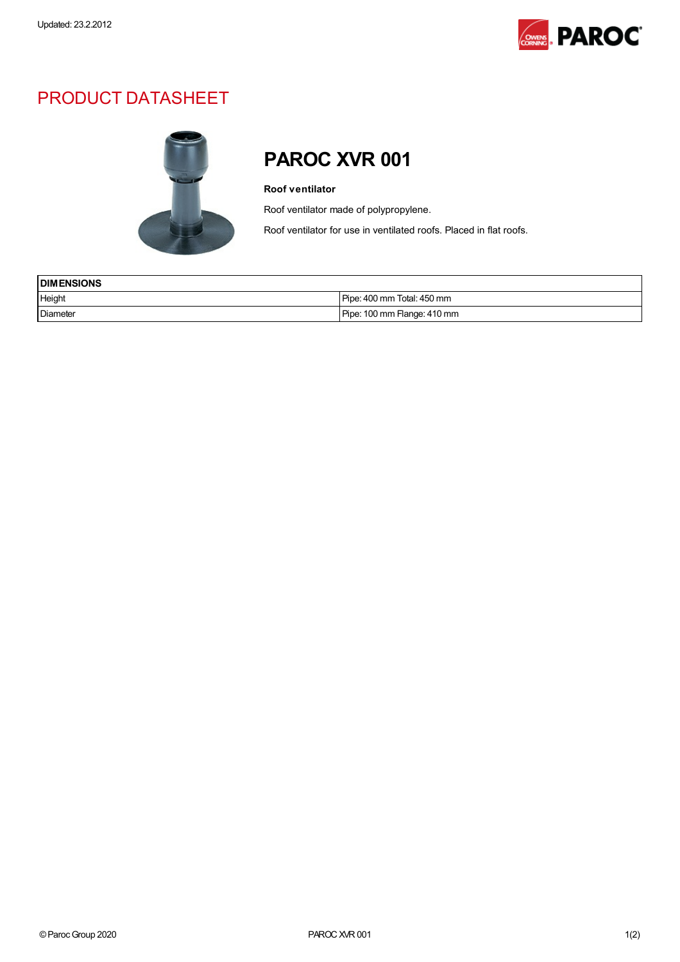

## PRODUCT DATASHEET



## PAROC XVR 001

## Roof ventilator

Roof ventilator made of polypropylene.

Roof ventilator for use in ventilated roofs. Placed in flat roofs.

| <b>I DIMENSIONS</b> |                             |
|---------------------|-----------------------------|
| Height              | Pipe: 400 mm Total: 450 mm  |
| Diameter            | Pipe: 100 mm Flange: 410 mm |